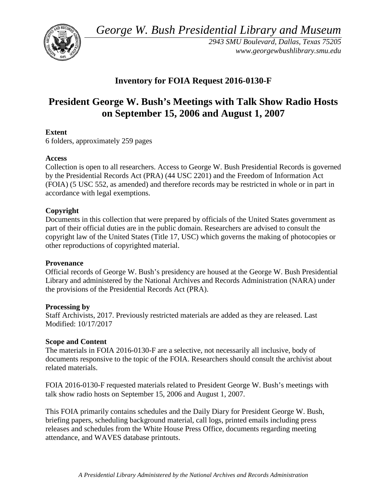*George W. Bush Presidential Library and Museum* 



 *2943 SMU Boulevard, Dallas, Texas 75205 <www.georgewbushlibrary.smu.edu>*

# **Inventory for FOIA Request 2016-0130-F**

# **President George W. Bush's Meetings with Talk Show Radio Hosts on September 15, 2006 and August 1, 2007**

# **Extent**

6 folders, approximately 259 pages

# **Access**

 by the Presidential Records Act (PRA) (44 USC 2201) and the Freedom of Information Act (FOIA) (5 USC 552, as amended) and therefore records may be restricted in whole or in part in Collection is open to all researchers. Access to George W. Bush Presidential Records is governed accordance with legal exemptions.

# **Copyright**

 Documents in this collection that were prepared by officials of the United States government as part of their official duties are in the public domain. Researchers are advised to consult the copyright law of the United States (Title 17, USC) which governs the making of photocopies or other reproductions of copyrighted material.

#### **Provenance**

 Official records of George W. Bush's presidency are housed at the George W. Bush Presidential Library and administered by the National Archives and Records Administration (NARA) under the provisions of the Presidential Records Act (PRA).

#### **Processing by**

 Modified: 10/17/2017 Staff Archivists, 2017. Previously restricted materials are added as they are released. Last

#### **Scope and Content**

The materials in FOIA 2016-0130-F are a selective, not necessarily all inclusive, body of documents responsive to the topic of the FOIA. Researchers should consult the archivist about related materials.

FOIA 2016-0130-F requested materials related to President George W. Bush's meetings with talk show radio hosts on September 15, 2006 and August 1, 2007.

 attendance, and WAVES database printouts. This FOIA primarily contains schedules and the Daily Diary for President George W. Bush, briefing papers, scheduling background material, call logs, printed emails including press releases and schedules from the White House Press Office, documents regarding meeting